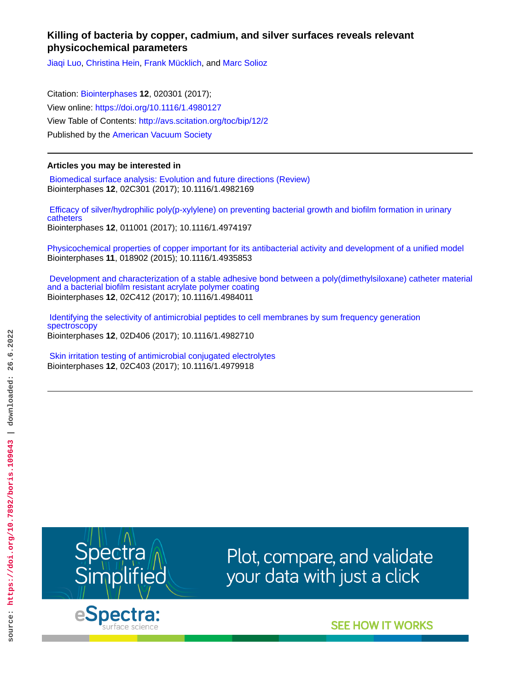# **Killing of bacteria by copper, cadmium, and silver surfaces reveals relevant physicochemical parameters**

[Jiaqi Luo](http://avs.scitation.org/author/Luo%2C+Jiaqi), [Christina Hein,](http://avs.scitation.org/author/Hein%2C+Christina) [Frank Mücklich](http://avs.scitation.org/author/M%C3%BCcklich%2C+Frank), and [Marc Solioz](http://avs.scitation.org/author/Solioz%2C+Marc)

Citation: [Biointerphases](/loi/bip) **12**, 020301 (2017); View online: <https://doi.org/10.1116/1.4980127> View Table of Contents: <http://avs.scitation.org/toc/bip/12/2> Published by the [American Vacuum Society](http://avs.scitation.org/publisher/)

# **Articles you may be interested in**

 [Biomedical surface analysis: Evolution and future directions \(Review\)](http://avs.scitation.org/doi/abs/10.1116/1.4982169) Biointerphases **12**, 02C301 (2017); 10.1116/1.4982169

 [Efficacy of silver/hydrophilic poly\(p-xylylene\) on preventing bacterial growth and biofilm formation in urinary](http://avs.scitation.org/doi/abs/10.1116/1.4974197) [catheters](http://avs.scitation.org/doi/abs/10.1116/1.4974197) Biointerphases **12**, 011001 (2017); 10.1116/1.4974197

[Physicochemical properties of copper important for its antibacterial activity and development of a unified model](http://avs.scitation.org/doi/abs/10.1116/1.4935853) Biointerphases **11**, 018902 (2015); 10.1116/1.4935853

 [Development and characterization of a stable adhesive bond between a poly\(dimethylsiloxane\) catheter material](http://avs.scitation.org/doi/abs/10.1116/1.4984011) [and a bacterial biofilm resistant acrylate polymer coating](http://avs.scitation.org/doi/abs/10.1116/1.4984011) Biointerphases **12**, 02C412 (2017); 10.1116/1.4984011

 [Identifying the selectivity of antimicrobial peptides to cell membranes by sum frequency generation](http://avs.scitation.org/doi/abs/10.1116/1.4982710) [spectroscopy](http://avs.scitation.org/doi/abs/10.1116/1.4982710) Biointerphases **12**, 02D406 (2017); 10.1116/1.4982710

 [Skin irritation testing of antimicrobial conjugated electrolytes](http://avs.scitation.org/doi/abs/10.1116/1.4979918) Biointerphases **12**, 02C403 (2017); 10.1116/1.4979918





Plot, compare, and validate<br>your data with just a click

**SEE HOW IT WORKS**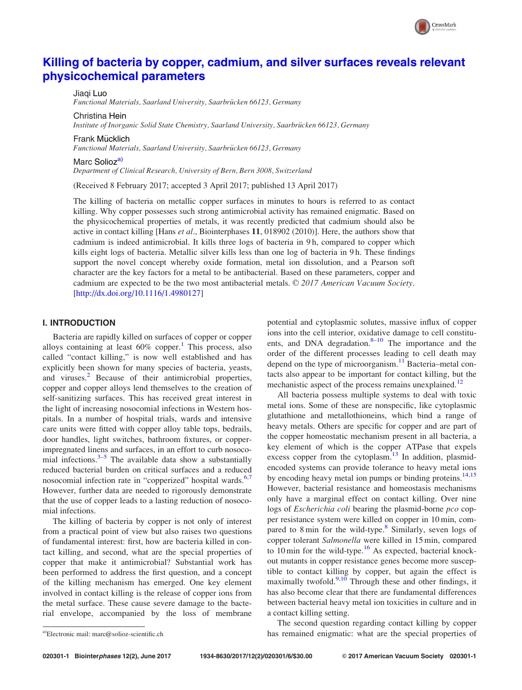

# [Killing of bacteria by copper, cadmium, and silver surfaces reveals relevant](http://dx.doi.org/10.1116/1.4980127) [physicochemical parameters](http://dx.doi.org/10.1116/1.4980127)

Jiaqi Luo

Functional Materials, Saarland University, Saarbrücken 66123, Germany

Christina Hein

Institute of Inorganic Solid State Chemistry, Saarland University, Saarbrücken 66123, Germany

Frank Mücklich

Functional Materials, Saarland University, Saarbrücken 66123, Germany

Marc Solioz<sup>a)</sup>

Department of Clinical Research, University of Bern, Bern 3008, Switzerland

(Received 8 February 2017; accepted 3 April 2017; published 13 April 2017)

The killing of bacteria on metallic copper surfaces in minutes to hours is referred to as contact killing. Why copper possesses such strong antimicrobial activity has remained enigmatic. Based on the physicochemical properties of metals, it was recently predicted that cadmium should also be active in contact killing [Hans *et al.*, Biointerphases 11, 018902 (2010)]. Here, the authors show that cadmium is indeed antimicrobial. It kills three logs of bacteria in 9 h, compared to copper which kills eight logs of bacteria. Metallic silver kills less than one log of bacteria in 9 h. These findings support the novel concept whereby oxide formation, metal ion dissolution, and a Pearson soft character are the key factors for a metal to be antibacterial. Based on these parameters, copper and cadmium are expected to be the two most antibacterial metals.  $\odot$  2017 American Vacuum Society. [\[http://dx.doi.org/10.1116/1.4980127](http://dx.doi.org/10.1116/1.4980127)]

# I. INTRODUCTION

Bacteria are rapidly killed on surfaces of copper or copper alloys containing at least  $60\%$  copper.<sup>[1](#page-5-0)</sup> This process, also called "contact killing," is now well established and has explicitly been shown for many species of bacteria, yeasts, and viruses.<sup>[2](#page-5-0)</sup> Because of their antimicrobial properties, copper and copper alloys lend themselves to the creation of self-sanitizing surfaces. This has received great interest in the light of increasing nosocomial infections in Western hospitals. In a number of hospital trials, wards and intensive care units were fitted with copper alloy table tops, bedrails, door handles, light switches, bathroom fixtures, or copperimpregnated linens and surfaces, in an effort to curb nosocomial infections. $3-5$  The available data show a substantially reduced bacterial burden on critical surfaces and a reduced nosocomial infection rate in "copperized" hospital wards.<sup>[6,7](#page-6-0)</sup> However, further data are needed to rigorously demonstrate that the use of copper leads to a lasting reduction of nosocomial infections.

The killing of bacteria by copper is not only of interest from a practical point of view but also raises two questions of fundamental interest: first, how are bacteria killed in contact killing, and second, what are the special properties of copper that make it antimicrobial? Substantial work has been performed to address the first question, and a concept of the killing mechanism has emerged. One key element involved in contact killing is the release of copper ions from the metal surface. These cause severe damage to the bacterial envelope, accompanied by the loss of membrane

potential and cytoplasmic solutes, massive influx of copper ions into the cell interior, oxidative damage to cell constituents, and DNA degradation. $8-10$  The importance and the order of the different processes leading to cell death may depend on the type of microorganism. $^{11}$  $^{11}$  $^{11}$  Bacteria–metal contacts also appear to be important for contact killing, but the mechanistic aspect of the process remains unexplained.<sup>[12](#page-6-0)</sup>

All bacteria possess multiple systems to deal with toxic metal ions. Some of these are nonspecific, like cytoplasmic glutathione and metallothioneins, which bind a range of heavy metals. Others are specific for copper and are part of the copper homeostatic mechanism present in all bacteria, a key element of which is the copper ATPase that expels excess copper from the cytoplasm.<sup>[13](#page-6-0)</sup> In addition, plasmidencoded systems can provide tolerance to heavy metal ions by encoding heavy metal ion pumps or binding proteins.<sup>[14,15](#page-6-0)</sup> However, bacterial resistance and homeostasis mechanisms only have a marginal effect on contact killing. Over nine logs of Escherichia coli bearing the plasmid-borne pco copper resistance system were killed on copper in 10 min, compared to 8 min for the wild-type.<sup>8</sup> Similarly, seven logs of copper tolerant Salmonella were killed in 15 min, compared to 10 min for the wild-type.<sup>[16](#page-6-0)</sup> As expected, bacterial knockout mutants in copper resistance genes become more susceptible to contact killing by copper, but again the effect is maximally twofold. $9,10$  Through these and other findings, it has also become clear that there are fundamental differences between bacterial heavy metal ion toxicities in culture and in a contact killing setting.

The second question regarding contact killing by copper a)Electronic mail: [marc@solioz-scientific.ch](mailto:marc@solioz-scientific.ch) has remained enigmatic: what are the special properties of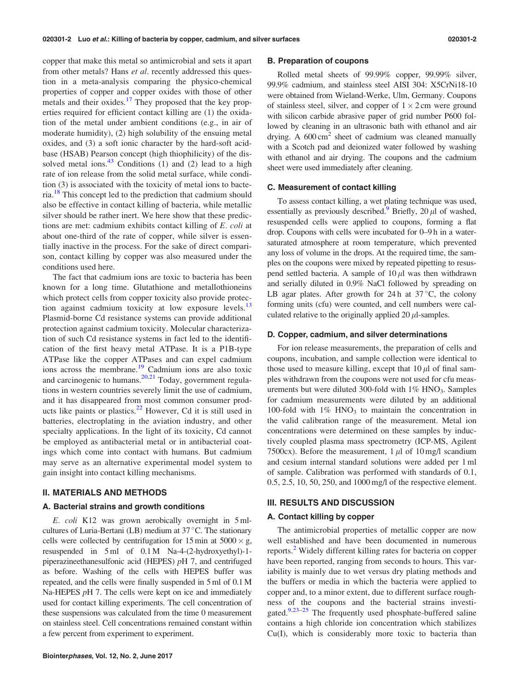<span id="page-2-0"></span>copper that make this metal so antimicrobial and sets it apart from other metals? Hans *et al.* recently addressed this question in a meta-analysis comparing the physico-chemical properties of copper and copper oxides with those of other metals and their oxides.<sup>[17](#page-6-0)</sup> They proposed that the key properties required for efficient contact killing are (1) the oxidation of the metal under ambient conditions (e.g., in air of moderate humidity), (2) high solubility of the ensuing metal oxides, and (3) a soft ionic character by the hard-soft acidbase (HSAB) Pearson concept (high thiophilicity) of the dissolved metal ions. $43$  Conditions (1) and (2) lead to a high rate of ion release from the solid metal surface, while condition (3) is associated with the toxicity of metal ions to bacteria.[18](#page-6-0) This concept led to the prediction that cadmium should also be effective in contact killing of bacteria, while metallic silver should be rather inert. We here show that these predictions are met: cadmium exhibits contact killing of E. coli at about one-third of the rate of copper, while silver is essentially inactive in the process. For the sake of direct comparison, contact killing by copper was also measured under the conditions used here.

The fact that cadmium ions are toxic to bacteria has been known for a long time. Glutathione and metallothioneins which protect cells from copper toxicity also provide protection against cadmium toxicity at low exposure levels. $^{13}$  $^{13}$  $^{13}$ Plasmid-borne Cd resistance systems can provide additional protection against cadmium toxicity. Molecular characterization of such Cd resistance systems in fact led to the identification of the first heavy metal ATPase. It is a P1B-type ATPase like the copper ATPases and can expel cadmium ions across the membrane.<sup>[19](#page-6-0)</sup> Cadmium ions are also toxic and carcinogenic to humans. $20,21$  Today, government regulations in western countries severely limit the use of cadmium, and it has disappeared from most common consumer products like paints or plastics. $^{22}$  $^{22}$  $^{22}$  However, Cd it is still used in batteries, electroplating in the aviation industry, and other specialty applications. In the light of its toxicity, Cd cannot be employed as antibacterial metal or in antibacterial coatings which come into contact with humans. But cadmium may serve as an alternative experimental model system to gain insight into contact killing mechanisms.

# II. MATERIALS AND METHODS

## A. Bacterial strains and growth conditions

E. coli K12 was grown aerobically overnight in 5 mlcultures of Luria-Bertani (LB) medium at 37 °C. The stationary cells were collected by centrifugation for 15 min at  $5000 \times g$ , resuspended in 5 ml of 0.1M Na-4-(2-hydroxyethyl)-1 piperazineethanesulfonic acid (HEPES) pH 7, and centrifuged as before. Washing of the cells with HEPES buffer was repeated, and the cells were finally suspended in 5 ml of 0.1 M Na-HEPES  $pH$  7. The cells were kept on ice and immediately used for contact killing experiments. The cell concentration of these suspensions was calculated from the time 0 measurement on stainless steel. Cell concentrations remained constant within a few percent from experiment to experiment.

### B. Preparation of coupons

Rolled metal sheets of 99.99% copper, 99.99% silver, 99.9% cadmium, and stainless steel AISI 304: X5CrNi18-10 were obtained from Wieland-Werke, Ulm, Germany. Coupons of stainless steel, silver, and copper of  $1 \times 2$  cm were ground with silicon carbide abrasive paper of grid number P600 followed by cleaning in an ultrasonic bath with ethanol and air drying. A  $600 \text{ cm}^2$  sheet of cadmium was cleaned manually with a Scotch pad and deionized water followed by washing with ethanol and air drying. The coupons and the cadmium sheet were used immediately after cleaning.

## C. Measurement of contact killing

To assess contact killing, a wet plating technique was used, essentially as previously described.<sup>9</sup> Briefly, 20  $\mu$ l of washed, resuspended cells were applied to coupons, forming a flat drop. Coupons with cells were incubated for 0–9 h in a watersaturated atmosphere at room temperature, which prevented any loss of volume in the drops. At the required time, the samples on the coupons were mixed by repeated pipetting to resuspend settled bacteria. A sample of  $10 \mu l$  was then withdrawn and serially diluted in 0.9% NaCl followed by spreading on LB agar plates. After growth for  $24 h$  at  $37 °C$ , the colony forming units (cfu) were counted, and cell numbers were calculated relative to the originally applied 20  $\mu$ l-samples.

#### D. Copper, cadmium, and silver determinations

For ion release measurements, the preparation of cells and coupons, incubation, and sample collection were identical to those used to measure killing, except that  $10 \mu l$  of final samples withdrawn from the coupons were not used for cfu measurements but were diluted 300-fold with  $1\%$  HNO<sub>3</sub>. Samples for cadmium measurements were diluted by an additional 100-fold with  $1\%$  HNO<sub>3</sub> to maintain the concentration in the valid calibration range of the measurement. Metal ion concentrations were determined on these samples by inductively coupled plasma mass spectrometry (ICP-MS, Agilent 7500cx). Before the measurement,  $1 \mu l$  of  $10 \text{ mg/l}$  scandium and cesium internal standard solutions were added per 1 ml of sample. Calibration was performed with standards of 0.1, 0.5, 2.5, 10, 50, 250, and 1000 mg/l of the respective element.

# III. RESULTS AND DISCUSSION

#### A. Contact killing by copper

The antimicrobial properties of metallic copper are now well established and have been documented in numerous reports.[2](#page-5-0) Widely different killing rates for bacteria on copper have been reported, ranging from seconds to hours. This variability is mainly due to wet versus dry plating methods and the buffers or media in which the bacteria were applied to copper and, to a minor extent, due to different surface roughness of the coupons and the bacterial strains investi-gated.<sup>[9,23–25](#page-6-0)</sup> The frequently used phosphate-buffered saline contains a high chloride ion concentration which stabilizes Cu(I), which is considerably more toxic to bacteria than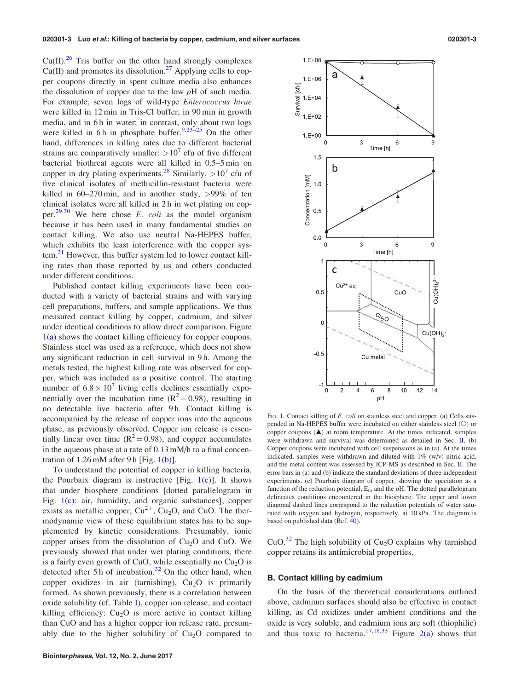<span id="page-3-0"></span> $Cu(II).^{26}$  $Cu(II).^{26}$  $Cu(II).^{26}$  Tris buffer on the other hand strongly complexes  $Cu(II)$  and promotes its dissolution.<sup>[27](#page-6-0)</sup> Applying cells to copper coupons directly in spent culture media also enhances the dissolution of copper due to the low pH of such media. For example, seven logs of wild-type Enterococcus hirae were killed in 12 min in Tris-Cl buffer, in 90 min in growth media, and in 6h in water; in contrast, only about two logs were killed in 6 h in phosphate buffer.<sup>9,23-25</sup> On the other hand, differences in killing rates due to different bacterial strains are comparatively smaller:  $>10^7$  cfu of five different bacterial biothreat agents were all killed in 0.5–5 min on copper in dry plating experiments.<sup>[28](#page-6-0)</sup> Similarly,  $>10^7$  cfu of five clinical isolates of methicillin-resistant bacteria were killed in  $60-270$  min, and in another study,  $>99\%$  of ten clinical isolates were all killed in 2 h in wet plating on cop-per.<sup>[29,30](#page-6-0)</sup> We here chose E. coli as the model organism because it has been used in many fundamental studies on contact killing. We also use neutral Na-HEPES buffer, which exhibits the least interference with the copper sys-tem.<sup>[31](#page-6-0)</sup> However, this buffer system led to lower contact killing rates than those reported by us and others conducted under different conditions.

Published contact killing experiments have been conducted with a variety of bacterial strains and with varying cell preparations, buffers, and sample applications. We thus measured contact killing by copper, cadmium, and silver under identical conditions to allow direct comparison. Figure 1(a) shows the contact killing efficiency for copper coupons. Stainless steel was used as a reference, which does not show any significant reduction in cell survival in 9 h. Among the metals tested, the highest killing rate was observed for copper, which was included as a positive control. The starting number of  $6.8 \times 10^{7}$  living cells declines essentially exponentially over the incubation time  $(R^2 = 0.98)$ , resulting in no detectable live bacteria after 9 h. Contact killing is accompanied by the release of copper ions into the aqueous phase, as previously observed. Copper ion release is essentially linear over time  $(R^2 = 0.98)$ , and copper accumulates in the aqueous phase at a rate of 0.13 mM/h to a final concentration of  $1.26 \text{ mM after } 9 \text{ h [Fig. 1(b)].}$ 

To understand the potential of copper in killing bacteria, the Pourbaix diagram is instructive [Fig.  $1(c)$ ]. It shows that under biosphere conditions [dotted parallelogram in Fig. 1(c): air, humidity, and organic substances], copper exists as metallic copper,  $Cu^{2+}$ ,  $Cu_2O$ , and CuO. The thermodynamic view of these equilibrium states has to be supplemented by kinetic considerations. Presumably, ionic copper arises from the dissolution of  $Cu<sub>2</sub>O$  and CuO. We previously showed that under wet plating conditions, there is a fairly even growth of CuO, while essentially no  $Cu<sub>2</sub>O$  is detected after 5 h of incubation.<sup>[32](#page-6-0)</sup> On the other hand, when copper oxidizes in air (tarnishing),  $Cu<sub>2</sub>O$  is primarily formed. As shown previously, there is a correlation between oxide solubility (cf. Table [I\)](#page-4-0), copper ion release, and contact killing efficiency:  $Cu<sub>2</sub>O$  is more active in contact killing than CuO and has a higher copper ion release rate, presumably due to the higher solubility of  $Cu<sub>2</sub>O$  compared to



FIG. 1. Contact killing of E. coli on stainless steel and copper. (a) Cells suspended in Na-HEPES buffer were incubated on either stainless steel (O) or copper coupons  $(\triangle)$  at room temperature. At the times indicated, samples were withdrawn and survival was determined as detailed in Sec. [II.](#page-2-0) (b) Copper coupons were incubated with cell suspensions as in (a). At the times indicated, samples were withdrawn and diluted with  $1\%$  (w/v) nitric acid, and the metal content was assessed by ICP-MS as described in Sec. [II](#page-2-0). The error bars in (a) and (b) indicate the standard deviations of three independent experiments. (c) Pourbaix diagram of copper, showing the speciation as a function of the reduction potential,  $E_h$ , and the  $pH$ . The dotted parallelogram delineates conditions encountered in the biosphere. The upper and lower diagonal dashed lines correspond to the reduction potentials of water saturated with oxygen and hydrogen, respectively, at 10 kPa. The diagram is based on published data (Ref. [40](#page-6-0)).

CuO.<sup>[32](#page-6-0)</sup> The high solubility of Cu<sub>2</sub>O explains why tarnished copper retains its antimicrobial properties.

# B. Contact killing by cadmium

On the basis of the theoretical considerations outlined above, cadmium surfaces should also be effective in contact killing, as Cd oxidizes under ambient conditions and the oxide is very soluble, and cadmium ions are soft (thiophilic) and thus toxic to bacteria.<sup>[17,18,33](#page-6-0)</sup> Figure [2\(a\)](#page-4-0) shows that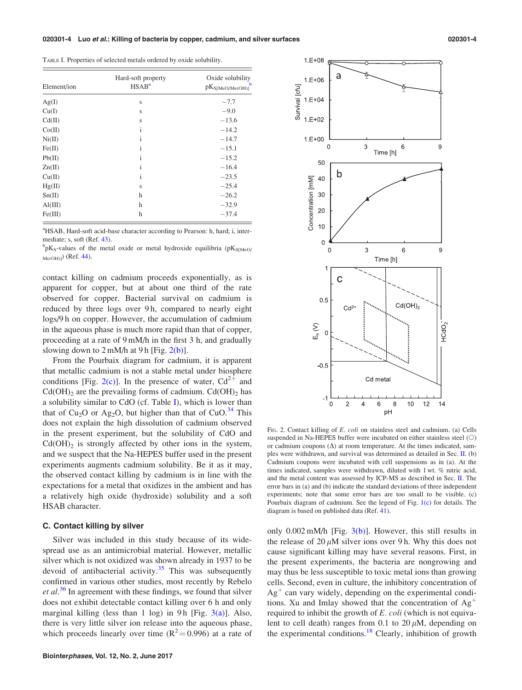<span id="page-4-0"></span>TABLE I. Properties of selected metals ordered by oxide solubility.

| Element/ion      | Hard-soft property<br>HSAB <sup>a</sup> | Oxide solubility<br>$pK_{S[MeO/Me(OH)]}$ |
|------------------|-----------------------------------------|------------------------------------------|
| Ag(I)            | S                                       | $-7.7$                                   |
| Cu(I)            | S                                       | $-9.0$                                   |
| Cd(II)           | S                                       | $-13.6$                                  |
| Co(II)           | $\mathbf{i}$                            | $-14.2$                                  |
| Ni(II)           | i                                       | $-14.7$                                  |
| Fe(II)           | i                                       | $-15.1$                                  |
| Pb(II)           | i                                       | $-15.2$                                  |
| Zn(II)           | i                                       | $-16.4$                                  |
| Cu(II)           | i                                       | $-23.5$                                  |
| Hg(II)           | S                                       | $-25.4$                                  |
| Sn(II)           | h                                       | $-26.2$                                  |
| $\text{Al(III)}$ | h                                       | $-32.9$                                  |
| Fe(III)          | h                                       | $-37.4$                                  |

<sup>a</sup>HSAB, Hard-soft acid-base character according to Pearson: h, hard; i, inter-mediate; s, soft (Ref. [43\)](#page-6-0).

 $pK_S$ -values of the metal oxide or metal hydroxide equilibria ( $pK_{S(MeO)}$  $_{Me(OH)1})$  (Ref. [44](#page-6-0)).

contact killing on cadmium proceeds exponentially, as is apparent for copper, but at about one third of the rate observed for copper. Bacterial survival on cadmium is reduced by three logs over 9h, compared to nearly eight logs/9 h on copper. However, the accumulation of cadmium in the aqueous phase is much more rapid than that of copper, proceeding at a rate of 9 mM/h in the first 3 h, and gradually slowing down to  $2 \text{ mM/h}$  at  $9 \text{ h}$  [Fig.  $2(b)$ ].

From the Pourbaix diagram for cadmium, it is apparent that metallic cadmium is not a stable metal under biosphere conditions [Fig. 2(c)]. In the presence of water,  $Cd^{2+}$  and  $Cd(OH)_2$  are the prevailing forms of cadmium.  $Cd(OH)_2$  has a solubility similar to CdO (cf. Table I), which is lower than that of Cu<sub>2</sub>O or Ag<sub>2</sub>O, but higher than that of CuO.<sup>[34](#page-6-0)</sup> This does not explain the high dissolution of cadmium observed in the present experiment, but the solubility of CdO and  $Cd(OH)_2$  is strongly affected by other ions in the system, and we suspect that the Na-HEPES buffer used in the present experiments augments cadmium solubility. Be it as it may, the observed contact killing by cadmium is in line with the expectations for a metal that oxidizes in the ambient and has a relatively high oxide (hydroxide) solubility and a soft HSAB character.

#### C. Contact killing by silver

Silver was included in this study because of its widespread use as an antimicrobial material. However, metallic silver which is not oxidized was shown already in 1937 to be devoid of antibacterial activity.<sup>35</sup> This was subsequently confirmed in various other studies, most recently by Rebelo et  $al$ .<sup>[36](#page-6-0)</sup> In agreement with these findings, we found that silver does not exhibit detectable contact killing over 6 h and only marginal killing (less than 1 log) in 9h [Fig.  $3(a)$ ]. Also, there is very little silver ion release into the aqueous phase, which proceeds linearly over time  $(R^2 = 0.996)$  at a rate of



FIG. 2. Contact killing of E. coli on stainless steel and cadmium. (a) Cells suspended in Na-HEPES buffer were incubated on either stainless steel  $(O)$ or cadmium coupons  $(\Delta)$  at room temperature. At the times indicated, samples were withdrawn, and survival was determined as detailed in Sec. [II](#page-2-0). (b) Cadmium coupons were incubated with cell suspensions as in (a). At the times indicated, samples were withdrawn, diluted with 1 wt. % nitric acid, and the metal content was assessed by ICP-MS as described in Sec. [II](#page-2-0). The error bars in (a) and (b) indicate the standard deviations of three independent experiments; note that some error bars are too small to be visible. (c) Pourbaix diagram of cadmium. See the legend of Fig. [1\(c\)](#page-3-0) for details. The diagram is based on published data (Ref. [41\)](#page-6-0).

only 0.002 mM/h [Fig. [3\(b\)\]](#page-5-0). However, this still results in the release of 20  $\mu$ M silver ions over 9 h. Why this does not cause significant killing may have several reasons. First, in the present experiments, the bacteria are nongrowing and may thus be less susceptible to toxic metal ions than growing cells. Second, even in culture, the inhibitory concentration of  $Ag<sup>+</sup>$  can vary widely, depending on the experimental conditions. Xu and Imlay showed that the concentration of  $Ag<sup>+</sup>$ required to inhibit the growth of  $E$ . *coli* (which is not equivalent to cell death) ranges from 0.1 to 20  $\mu$ M, depending on the experimental conditions.<sup>[18](#page-6-0)</sup> Clearly, inhibition of growth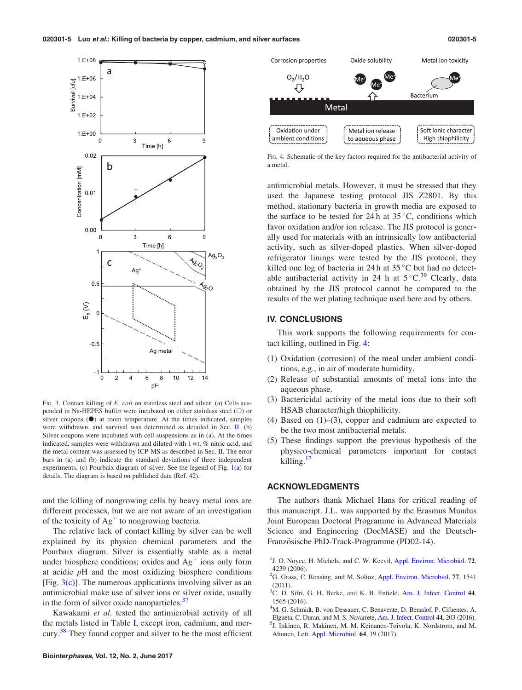<span id="page-5-0"></span>

FIG. 3. Contact killing of E. coli on stainless steel and silver. (a) Cells suspended in Na-HEPES buffer were incubated on either stainless steel (O) or silver coupons  $($ <sup> $\bullet$ </sup>) at room temperature. At the times indicated, samples were withdrawn, and survival was determined as detailed in Sec. [II.](#page-2-0) (b) Silver coupons were incubated with cell suspensions as in (a). At the times indicated, samples were withdrawn and diluted with 1 wt. % nitric acid, and the metal content was assessed by ICP-MS as described in Sec. [II](#page-2-0). The error bars in (a) and (b) indicate the standard deviations of three independent experiments. (c) Pourbaix diagram of silver. See the legend of Fig.  $1(a)$  for details. The diagram is based on published data (Ref. [42\)](#page-6-0).

and the killing of nongrowing cells by heavy metal ions are different processes, but we are not aware of an investigation of the toxicity of  $Ag<sup>+</sup>$  to nongrowing bacteria.

The relative lack of contact killing by silver can be well explained by its physico chemical parameters and the Pourbaix diagram. Silver is essentially stable as a metal under biosphere conditions; oxides and  $Ag<sup>+</sup>$  ions only form at acidic pH and the most oxidizing biosphere conditions [Fig.  $3(c)$ ]. The numerous applications involving silver as an antimicrobial make use of silver ions or silver oxide, usually in the form of silver oxide nanoparticles.<sup>[37](#page-6-0)</sup>

Kawakami et al. tested the antimicrobial activity of all the metals listed in Table [I,](#page-4-0) except iron, cadmium, and mer-cury.<sup>[38](#page-6-0)</sup> They found copper and silver to be the most efficient



FIG. 4. Schematic of the key factors required for the antibacterial activity of a metal.

antimicrobial metals. However, it must be stressed that they used the Japanese testing protocol JIS Z2801. By this method, stationary bacteria in growth media are exposed to the surface to be tested for 24 h at  $35^{\circ}$ C, conditions which favor oxidation and/or ion release. The JIS protocol is generally used for materials with an intrinsically low antibacterial activity, such as silver-doped plastics. When silver-doped refrigerator linings were tested by the JIS protocol, they killed one log of bacteria in 24 h at  $35^{\circ}$ C but had no detectable antibacterial activity in 24 h at  $5^{\circ}C.^{39}$  Clearly, data obtained by the JIS protocol cannot be compared to the results of the wet plating technique used here and by others.

## IV. CONCLUSIONS

This work supports the following requirements for contact killing, outlined in Fig. 4:

- (1) Oxidation (corrosion) of the meal under ambient conditions, e.g., in air of moderate humidity.
- (2) Release of substantial amounts of metal ions into the aqueous phase.
- (3) Bactericidal activity of the metal ions due to their soft HSAB character/high thiophilicity.
- (4) Based on (1)–(3), copper and cadmium are expected to be the two most antibacterial metals.
- (5) These findings support the previous hypothesis of the physico-chemical parameters important for contact killing. $17$

# ACKNOWLEDGMENTS

The authors thank Michael Hans for critical reading of this manuscript. J.L. was supported by the Erasmus Mundus Joint European Doctoral Programme in Advanced Materials Science and Engineering (DocMASE) and the Deutsch-Französische PhD-Track-Programme (PD02-14).

- <sup>1</sup>J. O. Noyce, H. Michels, and C. W. Keevil, [Appl. Environ. Microbiol.](http://dx.doi.org/10.1128/AEM.02532-05) 72, 4239 (2006).
- <sup>2</sup>G. Grass, C. Rensing, and M. Solioz, [Appl. Environ. Microbiol.](http://dx.doi.org/10.1128/AEM.02766-10) 77, 1541 (2011).
- <sup>3</sup>C. D. Sifri, G. H. Burke, and K. B. Enfield, [Am. J. Infect. Control](http://dx.doi.org/10.1016/j.ajic.2016.07.007) 44, 1565 (2016).
- 4 M. G. Schmidt, B. von Dessauer, C. Benavente, D. Benadof, P. Cifuentes, A.
- Elgueta, C. Duran, and M. S. Navarrete, [Am. J. Infect. Control](http://dx.doi.org/10.1016/j.ajic.2015.09.008) 44, 203 (2016). <sup>5</sup>J. Inkinen, R. Makinen, M. M. Keinanen-Toivola, K. Nordstrom, and M.
- Ahonen, [Lett. Appl. Microbiol.](http://dx.doi.org/10.1111/lam.12680) 64, 19 (2017).